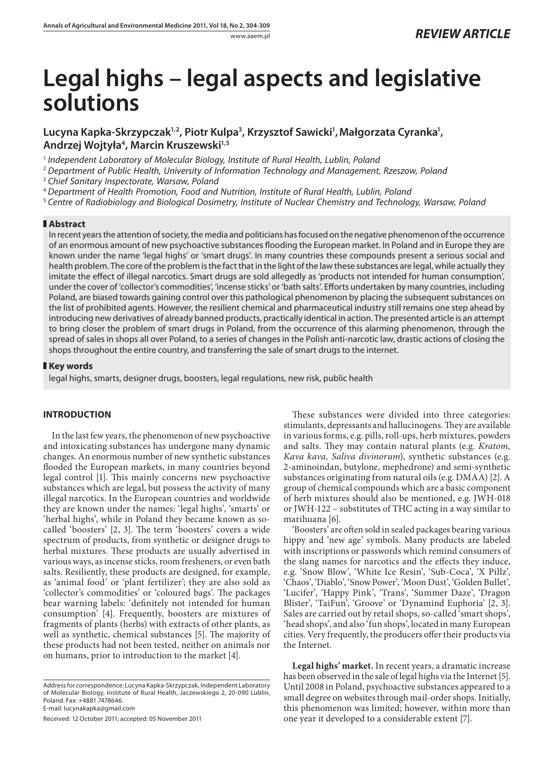# **Legal highs – legal aspects and legislative solutions**

# Lucyna Kapka-Skrzypczak<sup>1,2</sup>, Piotr Kulpa<sup>3</sup>, Krzysztof Sawicki', Małgorzata Cyranka', **Andrzej Wojtyła4 , Marcin Kruszewski1,5**

<sup>1</sup> Independent Laboratory of Molecular Biology, Institute of Rural Health, Lublin, Poland

<sup>2</sup> Department of Public Health, University of Information Technology and Management, Rzeszow, Poland

<sup>3</sup> Chief Sanitary Inspectorate, Warsaw, Poland

<sup>4</sup>Department of Health Promotion, Food and Nutrition, Institute of Rural Health, Lublin, Poland

<sup>5</sup> Centre of Radiobiology and Biological Dosimetry, Institute of Nuclear Chemistry and Technology, Warsaw, Poland

#### **Abstract**

In recent years the attention of society, the media and politicians has focused on the negative phenomenon of the occurrence of an enormous amount of new psychoactive substances flooding the European market. In Poland and in Europe they are known under the name 'legal highs' or 'smart drugs'. In many countries these compounds present a serious social and health problem. The core of the problem is the fact that in the light of the law these substances are legal, while actually they imitate the effect of illegal narcotics. Smart drugs are sold allegedly as 'products not intended for human consumption', under the cover of 'collector's commodities', 'incense sticks' or 'bath salts'. Eff orts undertaken by many countries, including Poland, are biased towards gaining control over this pathological phenomenon by placing the subsequent substances on the list of prohibited agents. However, the resilient chemical and pharmaceutical industry still remains one step ahead by introducing new derivatives of already banned products, practically identical in action. The presented article is an attempt to bring closer the problem of smart drugs in Poland, from the occurrence of this alarming phenomenon, through the spread of sales in shops all over Poland, to a series of changes in the Polish anti-narcotic law, drastic actions of closing the shops throughout the entire country, and transferring the sale of smart drugs to the internet.

# **Key words**

legal highs, smarts, designer drugs, boosters, legal regulations, new risk, public health

# **INTRODUCTION**

In the last few years, the phenomenon of new psychoactive and intoxicating substances has undergone many dynamic changes. An enormous number of new synthetic substances flooded the European markets, in many countries beyond legal control [1]. This mainly concerns new psychoactive substances which are legal, but possess the activity of many illegal narcotics. In the European countries and worldwide they are known under the names: 'legal highs', 'smarts' or 'herbal highs', while in Poland they became known as socalled 'boosters' [2, 3]. The term 'boosters' covers a wide spectrum of products, from synthetic or designer drugs to herbal mixtures. These products are usually advertised in various ways, as incense sticks, room fresheners, or even bath salts. Resiliently, these products are designed, for example, as 'animal food' or 'plant fertilizer'; they are also sold as 'collector's commodities' or 'coloured bags'. The packages bear warning labels: 'definitely not intended for human consumption' [4]. Frequently, boosters are mixtures of fragments of plants (herbs) with extracts of other plants, as well as synthetic, chemical substances [5]. The majority of these products had not been tested, neither on animals nor on humans, prior to introduction to the market [4].

Received: 12 October 2011; accepted: 05 November 2011

These substances were divided into three categories: stimulants, depressants and hallucinogens. They are available in various forms, e.g. pills, roll-ups, herb mixtures, powders and salts. They may contain natural plants (e.g. *Kratom*, *Kava kava, Saliva divinorum*), synthetic substances (e.g. 2-aminoindan, butylone, mephedrone) and semi-synthetic substances originating from natural oils (e.g. DMAA) [2]. A group of chemical compounds which are a basic component of herb mixtures should also be mentioned, e.g. JWH-018 or JWH-122 – substitutes of THC acting in a way similar to marihuana [6].

'Boosters' are often sold in sealed packages bearing various hippy and 'new age' symbols. Many products are labeled with inscriptions or passwords which remind consumers of the slang names for narcotics and the effects they induce, e.g. 'Snow Blow', 'White Ice Resin', 'Sub-Coca', 'X Pillz', 'Chaos', 'Diablo', 'Snow Power', 'Moon Dust', 'Golden Bullet', 'Lucifer', 'Happy Pink', 'Trans', 'Summer Daze', 'Dragon Blister', 'TaiFun', 'Groove' or 'Dynamind Euphoria' [2, 3]. Sales are carried out by retail shops, so-called 'smart shops', 'head shops', and also 'fun shops', located in many European cities. Very frequently, the producers offer their products via the Internet.

**Legal highs' market.** In recent years, a dramatic increase has been observed in the sale of legal highs via the Internet [5]. Until 2008 in Poland, psychoactive substances appeared to a small degree on websites through mail-order shops. Initially, this phenomenon was limited; however, within more than one year it developed to a considerable extent [7].

Address for correspondence: Lucyna Kapka-Skrzypczak, Independent Laboratory of Molecular Biology, Institute of Rural Health, Jaczewskiego 2, 20-090 Lublin, Poland. Fax: +4881 7478646. E-mail: lucynakapka@gmail.com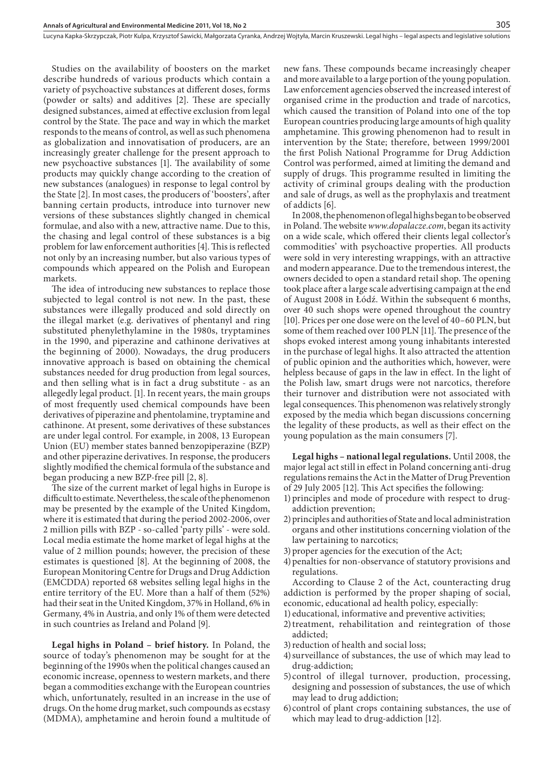Studies on the availability of boosters on the market describe hundreds of various products which contain a variety of psychoactive substances at different doses, forms (powder or salts) and additives  $[2]$ . These are specially designed substances, aimed at effective exclusion from legal control by the State. The pace and way in which the market responds to the means of control, as well as such phenomena as globalization and innovatisation of producers, are an increasingly greater challenge for the present approach to new psychoactive substances [1]. The availability of some products may quickly change according to the creation of new substances (analogues) in response to legal control by the State [2]. In most cases, the producers of 'boosters', after banning certain products, introduce into turnover new versions of these substances slightly changed in chemical formulae, and also with a new, attractive name. Due to this, the chasing and legal control of these substances is a big problem for law enforcement authorities [4]. This is reflected not only by an increasing number, but also various types of compounds which appeared on the Polish and European markets.

The idea of introducing new substances to replace those subjected to legal control is not new. In the past, these substances were illegally produced and sold directly on the illegal market (e.g. derivatives of phentanyl and ring substituted phenylethylamine in the 1980s, tryptamines in the 1990, and piperazine and cathinone derivatives at the beginning of 2000). Nowadays, the drug producers innovative approach is based on obtaining the chemical substances needed for drug production from legal sources, and then selling what is in fact a drug substitute - as an allegedly legal product. [1]. In recent years, the main groups of most frequently used chemical compounds have been derivatives of piperazine and phentolamine, tryptamine and cathinone. At present, some derivatives of these substances are under legal control. For example, in 2008, 13 European Union (EU) member states banned benzopiperazine (BZP) and other piperazine derivatives. In response, the producers slightly modified the chemical formula of the substance and began producing a new BZP-free pill [2, 8].

The size of the current market of legal highs in Europe is difficult to estimate. Nevertheless, the scale of the phenomenon may be presented by the example of the United Kingdom, where it is estimated that during the period 2002-2006, over 2 million pills with BZP - so-called 'party pills' - were sold. Local media estimate the home market of legal highs at the value of 2 million pounds; however, the precision of these estimates is questioned [8]. At the beginning of 2008, the European Monitoring Centre for Drugs and Drug Addiction (EMCDDA) reported 68 websites selling legal highs in the entire territory of the EU. More than a half of them (52%) had their seat in the United Kingdom, 37% in Holland, 6% in Germany, 4% in Austria, and only 1% of them were detected in such countries as Ireland and Poland [9].

**Legal highs in Poland – brief history.** In Poland, the source of today's phenomenon may be sought for at the beginning of the 1990s when the political changes caused an economic increase, openness to western markets, and there began a commodities exchange with the European countries which, unfortunately, resulted in an increase in the use of drugs. On the home drug market, such compounds as ecstasy (MDMA), amphetamine and heroin found a multitude of new fans. These compounds became increasingly cheaper and more available to a large portion of the young population. Law enforcement agencies observed the increased interest of organised crime in the production and trade of narcotics, which caused the transition of Poland into one of the top European countries producing large amounts of high quality amphetamine. This growing phenomenon had to result in intervention by the State; therefore, between 1999/2001 the first Polish National Programme for Drug Addiction Control was performed, aimed at limiting the demand and supply of drugs. This programme resulted in limiting the activity of criminal groups dealing with the production and sale of drugs, as well as the prophylaxis and treatment of addicts [6].

In 2008, the phenomenon of legal highs began to be observed in Poland. The website *www.dopalacze.com*, began its activity on a wide scale, which offered their clients legal collector's commodities' with psychoactive properties. All products were sold in very interesting wrappings, with an attractive and modern appearance. Due to the tremendous interest, the owners decided to open a standard retail shop. The opening took place after a large scale advertising campaign at the end of August 2008 in Łódź. Within the subsequent 6 months, over 40 such shops were opened throughout the country [10]. Prices per one dose were on the level of 40*–*60 PLN, but some of them reached over 100 PLN [11]. The presence of the shops evoked interest among young inhabitants interested in the purchase of legal highs. It also attracted the attention of public opinion and the authorities which, however, were helpless because of gaps in the law in effect. In the light of the Polish law, smart drugs were not narcotics, therefore their turnover and distribution were not associated with legal consequences. This phenomenon was relatively strongly exposed by the media which began discussions concerning the legality of these products, as well as their effect on the young population as the main consumers [7].

**Legal highs – national legal regulations.** Until 2008, the major legal act still in effect in Poland concerning anti-drug regulations remains the Act in the Matter of Drug Prevention of 29 July 2005 [12]. This Act specifies the following:

- 1) principles and mode of procedure with respect to drugaddiction prevention;
- 2) principles and authorities of State and local administration organs and other institutions concerning violation of the law pertaining to narcotics;
- 3) proper agencies for the execution of the Act;
- 4) penalties for non-observance of statutory provisions and regulations.

According to Clause 2 of the Act, counteracting drug addiction is performed by the proper shaping of social, economic, educational ad health policy, especially:

- 1) educational, informative and preventive activities;
- 2) treatment, rehabilitation and reintegration of those addicted;
- 3) reduction of health and social loss;
- 4) surveillance of substances, the use of which may lead to drug-addiction;
- 5) control of illegal turnover, production, processing, designing and possession of substances, the use of which may lead to drug addiction;
- 6) control of plant crops containing substances, the use of which may lead to drug-addiction [12].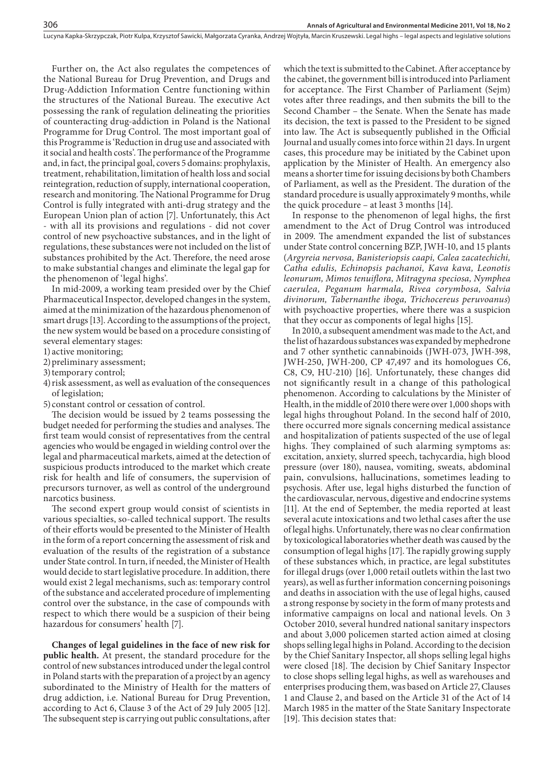Further on, the Act also regulates the competences of the National Bureau for Drug Prevention, and Drugs and Drug-Addiction Information Centre functioning within the structures of the National Bureau. The executive Act possessing the rank of regulation delineating the priorities of counteracting drug-addiction in Poland is the National Programme for Drug Control. The most important goal of this Programme is 'Reduction in drug use and associated with it social and health costs'. The performance of the Programme and, in fact, the principal goal, covers 5 domains: prophylaxis, treatment, rehabilitation, limitation of health loss and social reintegration, reduction of supply, international cooperation, research and monitoring. The National Programme for Drug Control is fully integrated with anti-drug strategy and the European Union plan of action [7]. Unfortunately, this Act - with all its provisions and regulations - did not cover control of new psychoactive substances, and in the light of regulations, these substances were not included on the list of substances prohibited by the Act. Therefore, the need arose to make substantial changes and eliminate the legal gap for the phenomenon of 'legal highs'.

In mid-2009, a working team presided over by the Chief Pharmaceutical Inspector, developed changes in the system, aimed at the minimization of the hazardous phenomenon of smart drugs [13]. According to the assumptions of the project, the new system would be based on a procedure consisting of several elementary stages:

1) active monitoring;

2) preliminary assessment;

3) temporary control;

4) risk assessment, as well as evaluation of the consequences of legislation;

5) constant control or cessation of control.

The decision would be issued by 2 teams possessing the budget needed for performing the studies and analyses. The first team would consist of representatives from the central agencies who would be engaged in wielding control over the legal and pharmaceutical markets, aimed at the detection of suspicious products introduced to the market which create risk for health and life of consumers, the supervision of precursors turnover, as well as control of the underground narcotics business.

The second expert group would consist of scientists in various specialties, so-called technical support. The results of their efforts would be presented to the Minister of Health in the form of a report concerning the assessment of risk and evaluation of the results of the registration of a substance under State control. In turn, if needed, the Minister of Health would decide to start legislative procedure. In addition, there would exist 2 legal mechanisms, such as: temporary control of the substance and accelerated procedure of implementing control over the substance, in the case of compounds with respect to which there would be a suspicion of their being hazardous for consumers' health [7].

**Changes of legal guidelines in the face of new risk for public health.** At present, the standard procedure for the control of new substances introduced under the legal control in Poland starts with the preparation of a project by an agency subordinated to the Ministry of Health for the matters of drug addiction, i.e. National Bureau for Drug Prevention, according to Act 6, Clause 3 of the Act of 29 July 2005 [12]. The subsequent step is carrying out public consultations, after

which the text is submitted to the Cabinet. After acceptance by the cabinet, the government bill is introduced into Parliament for acceptance. The First Chamber of Parliament (Sejm) votes after three readings, and then submits the bill to the Second Chamber – the Senate. When the Senate has made its decision, the text is passed to the President to be signed into law. The Act is subsequently published in the Official Journal and usually comes into force within 21 days. In urgent cases, this procedure may be initiated by the Cabinet upon application by the Minister of Health. An emergency also means a shorter time for issuing decisions by both Chambers of Parliament, as well as the President. The duration of the standard procedure is usually approximately 9 months, while the quick procedure – at least 3 months [14].

In response to the phenomenon of legal highs, the first amendment to the Act of Drug Control was introduced in 2009. The amendment expanded the list of substances under State control concerning BZP, JWH-10, and 15 plants (*Argyreia nervosa, Banisteriopsis caapi, Calea zacatechichi, Catha edulis, Echinopsis pachanoi, Kava kava, Leonotis leonurum, Mimos tenuifl ora, Mitragyna speciosa, Nymphea caerulea, Peganum harmala, Rivea corymbosa, Salvia divinorum, Tabernanthe iboga, Trichocereus peruvoanus*) with psychoactive properties, where there was a suspicion that they occur as components of legal highs [15].

In 2010, a subsequent amendment was made to the Act, and the list of hazardous substances was expanded by mephedrone and 7 other synthetic cannabinoids (JWH-073, JWH-398, JWH-250, JWH-200, CP 47,497 and its homologues C6, C8, C9, HU-210) [16]. Unfortunately, these changes did not significantly result in a change of this pathological phenomenon. According to calculations by the Minister of Health, in the middle of 2010 there were over 1,000 shops with legal highs throughout Poland. In the second half of 2010, there occurred more signals concerning medical assistance and hospitalization of patients suspected of the use of legal highs. They complained of such alarming symptoms as: excitation, anxiety, slurred speech, tachycardia, high blood pressure (over 180), nausea, vomiting, sweats, abdominal pain, convulsions, hallucinations, sometimes leading to psychosis. After use, legal highs disturbed the function of the cardiovascular, nervous, digestive and endocrine systems [11]. At the end of September, the media reported at least several acute intoxications and two lethal cases after the use of legal highs. Unfortunately, there was no clear confirmation by toxicological laboratories whether death was caused by the consumption of legal highs [17]. The rapidly growing supply of these substances which, in practice, are legal substitutes for illegal drugs (over 1,000 retail outlets within the last two years), as well as further information concerning poisonings and deaths in association with the use of legal highs, caused a strong response by society in the form of many protests and informative campaigns on local and national levels. On 3 October 2010, several hundred national sanitary inspectors and about 3,000 policemen started action aimed at closing shops selling legal highs in Poland. According to the decision by the Chief Sanitary Inspector, all shops selling legal highs were closed [18]. The decision by Chief Sanitary Inspector to close shops selling legal highs, as well as warehouses and enterprises producing them, was based on Article 27, Clauses 1 and Clause 2, and based on the Article 31 of the Act of 14 March 1985 in the matter of the State Sanitary Inspectorate [19]. This decision states that: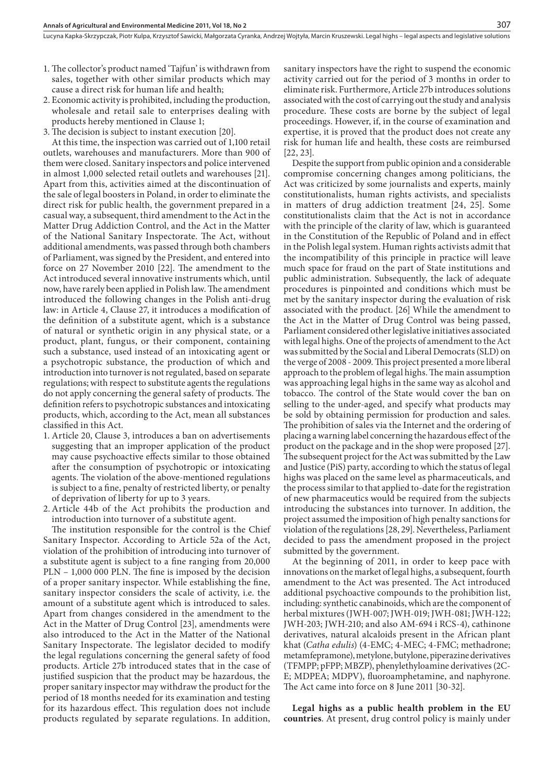- 1. The collector's product named 'Tajfun' is withdrawn from sales, together with other similar products which may cause a direct risk for human life and health;
- 2. Economic activity is prohibited, including the production, wholesale and retail sale to enterprises dealing with products hereby mentioned in Clause 1;
- 3. The decision is subject to instant execution [20].

At this time, the inspection was carried out of 1,100 retail outlets, warehouses and manufacturers. More than 900 of them were closed. Sanitary inspectors and police intervened in almost 1,000 selected retail outlets and warehouses [21]. Apart from this, activities aimed at the discontinuation of the sale of legal boosters in Poland, in order to eliminate the direct risk for public health, the government prepared in a casual way, a subsequent, third amendment to the Act in the Matter Drug Addiction Control, and the Act in the Matter of the National Sanitary Inspectorate. The Act, without additional amendments, was passed through both chambers of Parliament, was signed by the President, and entered into force on 27 November 2010 [22]. The amendment to the Act introduced several innovative instruments which, until now, have rarely been applied in Polish law. The amendment introduced the following changes in the Polish anti-drug law: in Article 4, Clause 27, it introduces a modification of the definition of a substitute agent, which is a substance of natural or synthetic origin in any physical state, or a product, plant, fungus, or their component, containing such a substance, used instead of an intoxicating agent or a psychotropic substance, the production of which and introduction into turnover is not regulated, based on separate regulations; with respect to substitute agents the regulations do not apply concerning the general safety of products. The definition refers to psychotropic substances and intoxicating products, which, according to the Act, mean all substances classified in this Act.

- 1. Article 20, Clause 3, introduces a ban on advertisements suggesting that an improper application of the product may cause psychoactive effects similar to those obtained after the consumption of psychotropic or intoxicating agents. The violation of the above-mentioned regulations is subject to a fine, penalty of restricted liberty, or penalty of deprivation of liberty for up to 3 years.
- 2. Article 44b of the Act prohibits the production and introduction into turnover of a substitute agent.

The institution responsible for the control is the Chief Sanitary Inspector. According to Article 52a of the Act, violation of the prohibition of introducing into turnover of a substitute agent is subject to a fine ranging from 20,000  $PLN - 1,000 000 PLN$ . The fine is imposed by the decision of a proper sanitary inspector. While establishing the fine, sanitary inspector considers the scale of activity, i.e. the amount of a substitute agent which is introduced to sales. Apart from changes considered in the amendment to the Act in the Matter of Drug Control [23], amendments were also introduced to the Act in the Matter of the National Sanitary Inspectorate. The legislator decided to modify the legal regulations concerning the general safety of food products. Article 27b introduced states that in the case of justified suspicion that the product may be hazardous, the proper sanitary inspector may withdraw the product for the period of 18 months needed for its examination and testing for its hazardous effect. This regulation does not include products regulated by separate regulations. In addition,

sanitary inspectors have the right to suspend the economic activity carried out for the period of 3 months in order to eliminate risk. Furthermore, Article 27b introduces solutions associated with the cost of carrying out the study and analysis procedure. These costs are borne by the subject of legal proceedings. However, if, in the course of examination and expertise, it is proved that the product does not create any risk for human life and health, these costs are reimbursed [22, 23].

Despite the support from public opinion and a considerable compromise concerning changes among politicians, the Act was criticized by some journalists and experts, mainly constitutionalists, human rights activists, and specialists in matters of drug addiction treatment [24, 25]. Some constitutionalists claim that the Act is not in accordance with the principle of the clarity of law, which is guaranteed in the Constitution of the Republic of Poland and in effect in the Polish legal system. Human rights activists admit that the incompatibility of this principle in practice will leave much space for fraud on the part of State institutions and public administration. Subsequently, the lack of adequate procedures is pinpointed and conditions which must be met by the sanitary inspector during the evaluation of risk associated with the product. [26] While the amendment to the Act in the Matter of Drug Control was being passed, Parliament considered other legislative initiatives associated with legal highs. One of the projects of amendment to the Act was submitted by the Social and Liberal Democrats (SLD) on the verge of 2008 - 2009. This project presented a more liberal approach to the problem of legal highs. The main assumption was approaching legal highs in the same way as alcohol and tobacco. The control of the State would cover the ban on selling to the under-aged, and specify what products may be sold by obtaining permission for production and sales. The prohibition of sales via the Internet and the ordering of placing a warning label concerning the hazardous effect of the product on the package and in the shop were proposed [27]. The subsequent project for the Act was submitted by the Law and Justice (PiS) party, according to which the status of legal highs was placed on the same level as pharmaceuticals, and the process similar to that applied to-date for the registration of new pharmaceutics would be required from the subjects introducing the substances into turnover. In addition, the project assumed the imposition of high penalty sanctions for violation of the regulations [28, 29]. Nevertheless, Parliament decided to pass the amendment proposed in the project submitted by the government.

At the beginning of 2011, in order to keep pace with innovations on the market of legal highs, a subsequent, fourth amendment to the Act was presented. The Act introduced additional psychoactive compounds to the prohibition list, including: synthetic canabinoids, which are the component of herbal mixtures (JWH-007; JWH-019; JWH-081; JWH-122; JWH-203; JWH-210; and also AM-694 i RCS-4), cathinone derivatives, natural alcaloids present in the African plant khat (*Catha edulis*) (4-EMC; 4-MEC; 4-FMC; methadrone; metamfepramone), metylone, butylone, piperazine derivatives (TFMPP; pFPP; MBZP), phenylethyloamine derivatives (2C-E; MDPEA; MDPV), fluoroamphetamine, and naphyrone. The Act came into force on 8 June 2011 [30-32].

**Legal highs as a public health problem in the EU countries**. At present, drug control policy is mainly under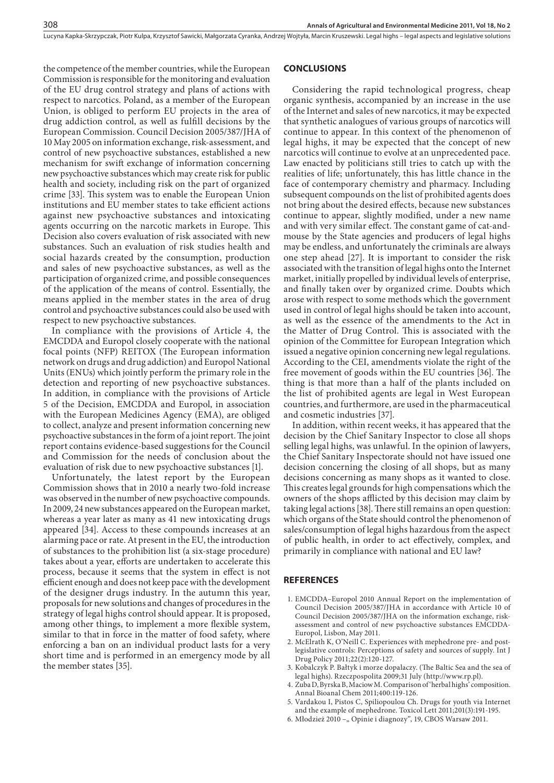Lucyna Kapka-Skrzypczak, Piotr Kulpa, Krzysztof Sawicki, Małgorzata Cyranka, Andrzej Wojtyła, Marcin Kruszewski. Legal highs – legal aspects and legislative solutions

the competence of the member countries, while the European Commission is responsible for the monitoring and evaluation of the EU drug control strategy and plans of actions with respect to narcotics. Poland, as a member of the European Union, is obliged to perform EU projects in the area of drug addiction control, as well as fulfill decisions by the European Commission. Council Decision 2005/387/JHA of 10 May 2005 on information exchange, risk-assessment, and control of new psychoactive substances, established a new mechanism for swift exchange of information concerning new psychoactive substances which may create risk for public health and society, including risk on the part of organized crime [33]. This system was to enable the European Union institutions and EU member states to take efficient actions against new psychoactive substances and intoxicating agents occurring on the narcotic markets in Europe. This Decision also covers evaluation of risk associated with new substances. Such an evaluation of risk studies health and social hazards created by the consumption, production and sales of new psychoactive substances, as well as the participation of organized crime, and possible consequences of the application of the means of control. Essentially, the means applied in the member states in the area of drug control and psychoactive substances could also be used with respect to new psychoactive substances.

In compliance with the provisions of Article 4, the EMCDDA and Europol closely cooperate with the national focal points (NFP) REITOX (The European information network on drugs and drug addiction) and Europol National Units (ENUs) which jointly perform the primary role in the detection and reporting of new psychoactive substances. In addition, in compliance with the provisions of Article 5 of the Decision, EMCDDA and Europol, in association with the European Medicines Agency (EMA), are obliged to collect, analyze and present information concerning new psychoactive substances in the form of a joint report. The joint report contains evidence-based suggestions for the Council and Commission for the needs of conclusion about the evaluation of risk due to new psychoactive substances [1].

Unfortunately, the latest report by the European Commission shows that in 2010 a nearly two-fold increase was observed in the number of new psychoactive compounds. In 2009, 24 new substances appeared on the European market, whereas a year later as many as 41 new intoxicating drugs appeared [34]. Access to these compounds increases at an alarming pace or rate. At present in the EU, the introduction of substances to the prohibition list (a six-stage procedure) takes about a year, efforts are undertaken to accelerate this process, because it seems that the system in effect is not efficient enough and does not keep pace with the development of the designer drugs industry. In the autumn this year, proposals for new solutions and changes of procedures in the strategy of legal highs control should appear. It is proposed, among other things, to implement a more flexible system, similar to that in force in the matter of food safety, where enforcing a ban on an individual product lasts for a very short time and is performed in an emergency mode by all the member states [35].

#### **CONCLUSIONS**

Considering the rapid technological progress, cheap organic synthesis, accompanied by an increase in the use of the Internet and sales of new narcotics, it may be expected that synthetic analogues of various groups of narcotics will continue to appear. In this context of the phenomenon of legal highs, it may be expected that the concept of new narcotics will continue to evolve at an unprecedented pace. Law enacted by politicians still tries to catch up with the realities of life; unfortunately, this has little chance in the face of contemporary chemistry and pharmacy. Including subsequent compounds on the list of prohibited agents does not bring about the desired effects, because new substances continue to appear, slightly modified, under a new name and with very similar effect. The constant game of cat-andmouse by the State agencies and producers of legal highs may be endless, and unfortunately the criminals are always one step ahead [27]. It is important to consider the risk associated with the transition of legal highs onto the Internet market, initially propelled by individual levels of enterprise, and finally taken over by organized crime. Doubts which arose with respect to some methods which the government used in control of legal highs should be taken into account, as well as the essence of the amendments to the Act in the Matter of Drug Control. This is associated with the opinion of the Committee for European Integration which issued a negative opinion concerning new legal regulations. According to the CEI, amendments violate the right of the free movement of goods within the EU countries [36]. The thing is that more than a half of the plants included on the list of prohibited agents are legal in West European countries, and furthermore, are used in the pharmaceutical and cosmetic industries [37].

In addition, within recent weeks, it has appeared that the decision by the Chief Sanitary Inspector to close all shops selling legal highs, was unlawful. In the opinion of lawyers, the Chief Sanitary Inspectorate should not have issued one decision concerning the closing of all shops, but as many decisions concerning as many shops as it wanted to close. This creates legal grounds for high compensations which the owners of the shops afflicted by this decision may claim by taking legal actions [38]. There still remains an open question: which organs of the State should control the phenomenon of sales/consumption of legal highs hazardous from the aspect of public health, in order to act effectively, complex, and primarily in compliance with national and EU law?

### **REFERENCES**

- 1. EMCDDA–Europol 2010 Annual Report on the implementation of Council Decision 2005/387/JHA in accordance with Article 10 of Council Decision 2005/387/JHA on the information exchange, riskassessment and control of new psychoactive substances EMCDDA-Europol, Lisbon, May 2011.
- 2. McElrath K, O'Neill C. Experiences with mephedrone pre- and postlegislative controls: Perceptions of safety and sources of supply. Int J Drug Policy 2011;22(2):120-127.
- 3. Kobalczyk P. Bałtyk i morze dopalaczy. (The Baltic Sea and the sea of legal highs). Rzeczpospolita 2009;31 July (http://www.rp.pl).
- 4. Zuba D, Byrska B, Maciow M. Comparison of 'herbal highs' composition. Annal Bioanal Chem 2011;400:119-126.
- 5. Vardakou I, Pistos C, Spiliopoulou Ch. Drugs for youth via Internet and the example of mephedrone. Toxicol Lett 2011;201(3):191-195.
- 6. Młodzież 2010 "Opinie i diagnozy", 19, CBOS Warsaw 2011.